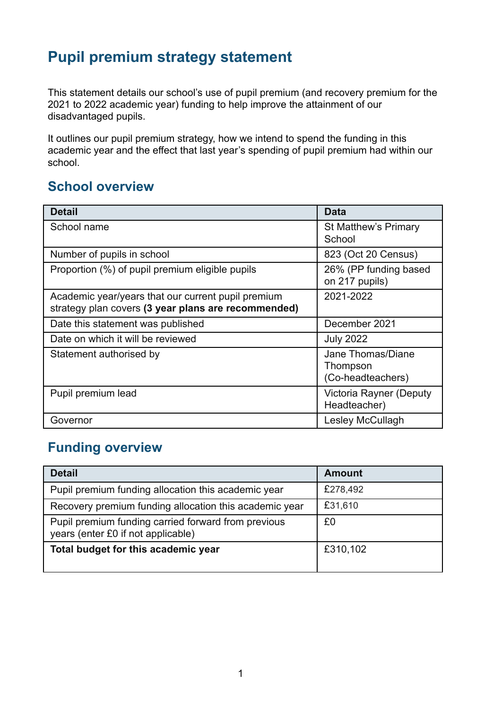## **Pupil premium strategy statement**

This statement details our school's use of pupil premium (and recovery premium for the 2021 to 2022 academic year) funding to help improve the attainment of our disadvantaged pupils.

It outlines our pupil premium strategy, how we intend to spend the funding in this academic year and the effect that last year's spending of pupil premium had within our school.

### **School overview**

| <b>Detail</b>                                                                                             | <b>Data</b>                                        |
|-----------------------------------------------------------------------------------------------------------|----------------------------------------------------|
| School name                                                                                               | <b>St Matthew's Primary</b><br>School              |
| Number of pupils in school                                                                                | 823 (Oct 20 Census)                                |
| Proportion (%) of pupil premium eligible pupils                                                           | 26% (PP funding based<br>on 217 pupils)            |
| Academic year/years that our current pupil premium<br>strategy plan covers (3 year plans are recommended) | 2021-2022                                          |
| Date this statement was published                                                                         | December 2021                                      |
| Date on which it will be reviewed                                                                         | <b>July 2022</b>                                   |
| Statement authorised by                                                                                   | Jane Thomas/Diane<br>Thompson<br>(Co-headteachers) |
| Pupil premium lead                                                                                        | Victoria Rayner (Deputy<br>Headteacher)            |
| Governor                                                                                                  | <b>Lesley McCullagh</b>                            |

## **Funding overview**

| <b>Detail</b>                                                                             | <b>Amount</b> |
|-------------------------------------------------------------------------------------------|---------------|
| Pupil premium funding allocation this academic year                                       | £278,492      |
| Recovery premium funding allocation this academic year                                    | £31,610       |
| Pupil premium funding carried forward from previous<br>years (enter £0 if not applicable) | £0            |
| Total budget for this academic year                                                       | £310,102      |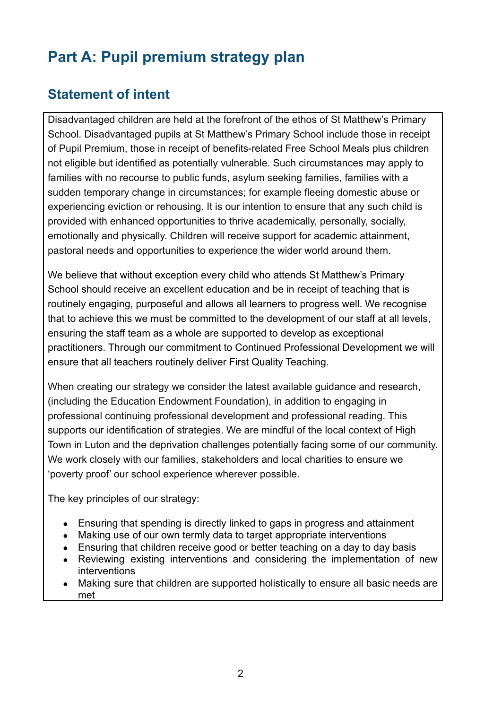# **Part A: Pupil premium strategy plan**

## **Statement of intent**

Disadvantaged children are held at the forefront of the ethos of St Matthew's Primary School. Disadvantaged pupils at St Matthew's Primary School include those in receipt of Pupil Premium, those in receipt of benefits-related Free School Meals plus children not eligible but identified as potentially vulnerable. Such circumstances may apply to families with no recourse to public funds, asylum seeking families, families with a sudden temporary change in circumstances; for example fleeing domestic abuse or experiencing eviction or rehousing. It is our intention to ensure that any such child is provided with enhanced opportunities to thrive academically, personally, socially, emotionally and physically. Children will receive support for academic attainment, pastoral needs and opportunities to experience the wider world around them.

We believe that without exception every child who attends St Matthew's Primary School should receive an excellent education and be in receipt of teaching that is routinely engaging, purposeful and allows all learners to progress well. We recognise that to achieve this we must be committed to the development of our staff at all levels, ensuring the staff team as a whole are supported to develop as exceptional practitioners. Through our commitment to Continued Professional Development we will ensure that all teachers routinely deliver First Quality Teaching.

When creating our strategy we consider the latest available guidance and research, (including the Education Endowment Foundation), in addition to engaging in professional continuing professional development and professional reading. This supports our identification of strategies. We are mindful of the local context of High Town in Luton and the deprivation challenges potentially facing some of our community. We work closely with our families, stakeholders and local charities to ensure we 'poverty proof' our school experience wherever possible.

The key principles of our strategy:

- Ensuring that spending is directly linked to gaps in progress and attainment
- Making use of our own termly data to target appropriate interventions
- Ensuring that children receive good or better teaching on a day to day basis
- Reviewing existing interventions and considering the implementation of new interventions
- Making sure that children are supported holistically to ensure all basic needs are met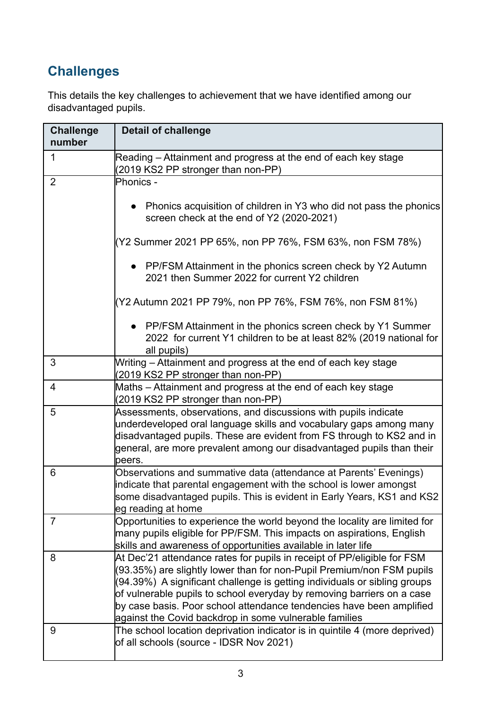## **Challenges**

This details the key challenges to achievement that we have identified among our disadvantaged pupils.

| <b>Challenge</b><br>number | <b>Detail of challenge</b>                                                                                                                                                                                                                                                                                                                                                                                                                |
|----------------------------|-------------------------------------------------------------------------------------------------------------------------------------------------------------------------------------------------------------------------------------------------------------------------------------------------------------------------------------------------------------------------------------------------------------------------------------------|
| 1                          | Reading – Attainment and progress at the end of each key stage<br>(2019 KS2 PP stronger than non-PP)                                                                                                                                                                                                                                                                                                                                      |
| $\overline{2}$             | Phonics -                                                                                                                                                                                                                                                                                                                                                                                                                                 |
|                            | Phonics acquisition of children in Y3 who did not pass the phonics<br>screen check at the end of Y2 (2020-2021)                                                                                                                                                                                                                                                                                                                           |
|                            | (Y2 Summer 2021 PP 65%, non PP 76%, FSM 63%, non FSM 78%)                                                                                                                                                                                                                                                                                                                                                                                 |
|                            | • PP/FSM Attainment in the phonics screen check by Y2 Autumn<br>2021 then Summer 2022 for current Y2 children                                                                                                                                                                                                                                                                                                                             |
|                            | (Y2 Autumn 2021 PP 79%, non PP 76%, FSM 76%, non FSM 81%)                                                                                                                                                                                                                                                                                                                                                                                 |
|                            | • PP/FSM Attainment in the phonics screen check by Y1 Summer<br>2022 for current Y1 children to be at least 82% (2019 national for<br>all pupils)                                                                                                                                                                                                                                                                                         |
| 3                          | Writing – Attainment and progress at the end of each key stage<br>(2019 KS2 PP stronger than non-PP)                                                                                                                                                                                                                                                                                                                                      |
| $\overline{4}$             | Maths – Attainment and progress at the end of each key stage<br>(2019 KS2 PP stronger than non-PP)                                                                                                                                                                                                                                                                                                                                        |
| 5                          | Assessments, observations, and discussions with pupils indicate<br>underdeveloped oral language skills and vocabulary gaps among many<br>disadvantaged pupils. These are evident from FS through to KS2 and in<br>general, are more prevalent among our disadvantaged pupils than their<br>beers.                                                                                                                                         |
| 6                          | Observations and summative data (attendance at Parents' Evenings)<br>indicate that parental engagement with the school is lower amongst<br>some disadvantaged pupils. This is evident in Early Years, KS1 and KS2<br>leg reading at home                                                                                                                                                                                                  |
| $\overline{7}$             | Opportunities to experience the world beyond the locality are limited for<br>many pupils eligible for PP/FSM. This impacts on aspirations, English<br>skills and awareness of opportunities available in later life                                                                                                                                                                                                                       |
| 8                          | At Dec'21 attendance rates for pupils in receipt of PP/eligible for FSM<br>(93.35%) are slightly lower than for non-Pupil Premium/non FSM pupils<br>(94.39%) A significant challenge is getting individuals or sibling groups<br>of vulnerable pupils to school everyday by removing barriers on a case<br>by case basis. Poor school attendance tendencies have been amplified<br>against the Covid backdrop in some vulnerable families |
| 9                          | The school location deprivation indicator is in quintile 4 (more deprived)<br>of all schools (source - IDSR Nov 2021)                                                                                                                                                                                                                                                                                                                     |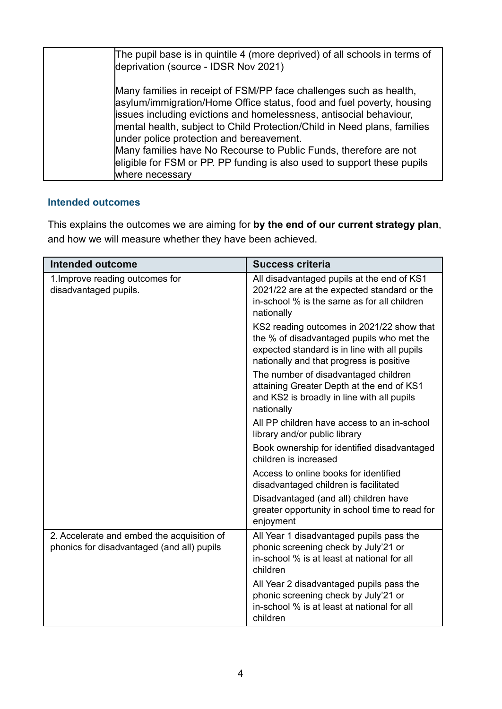| The pupil base is in quintile 4 (more deprived) of all schools in terms of<br>deprivation (source - IDSR Nov 2021)                                                                                                                                                                                                                                                                                                                                                                                           |
|--------------------------------------------------------------------------------------------------------------------------------------------------------------------------------------------------------------------------------------------------------------------------------------------------------------------------------------------------------------------------------------------------------------------------------------------------------------------------------------------------------------|
| Many families in receipt of FSM/PP face challenges such as health,<br>asylum/immigration/Home Office status, food and fuel poverty, housing<br>issues including evictions and homelessness, antisocial behaviour,<br>mental health, subject to Child Protection/Child in Need plans, families<br>under police protection and bereavement.<br>Many families have No Recourse to Public Funds, therefore are not<br>eligible for FSM or PP. PP funding is also used to support these pupils<br>where necessary |

#### **Intended outcomes**

This explains the outcomes we are aiming for **by the end of our current strategy plan**, and how we will measure whether they have been achieved.

| <b>Intended outcome</b>                                                                  | <b>Success criteria</b>                                                                                                                                                            |  |
|------------------------------------------------------------------------------------------|------------------------------------------------------------------------------------------------------------------------------------------------------------------------------------|--|
| 1. Improve reading outcomes for<br>disadvantaged pupils.                                 | All disadvantaged pupils at the end of KS1<br>2021/22 are at the expected standard or the<br>in-school % is the same as for all children<br>nationally                             |  |
|                                                                                          | KS2 reading outcomes in 2021/22 show that<br>the % of disadvantaged pupils who met the<br>expected standard is in line with all pupils<br>nationally and that progress is positive |  |
|                                                                                          | The number of disadvantaged children<br>attaining Greater Depth at the end of KS1<br>and KS2 is broadly in line with all pupils<br>nationally                                      |  |
|                                                                                          | All PP children have access to an in-school<br>library and/or public library                                                                                                       |  |
|                                                                                          | Book ownership for identified disadvantaged<br>children is increased                                                                                                               |  |
|                                                                                          | Access to online books for identified<br>disadvantaged children is facilitated                                                                                                     |  |
|                                                                                          | Disadvantaged (and all) children have<br>greater opportunity in school time to read for<br>enjoyment                                                                               |  |
| 2. Accelerate and embed the acquisition of<br>phonics for disadvantaged (and all) pupils | All Year 1 disadvantaged pupils pass the<br>phonic screening check by July'21 or<br>in-school % is at least at national for all<br>children                                        |  |
|                                                                                          | All Year 2 disadvantaged pupils pass the<br>phonic screening check by July'21 or<br>in-school % is at least at national for all<br>children                                        |  |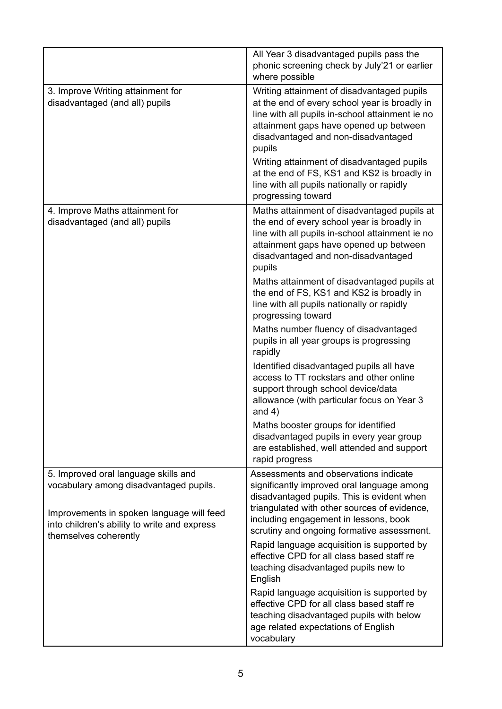|                                                                                                                             | All Year 3 disadvantaged pupils pass the<br>phonic screening check by July'21 or earlier<br>where possible                                                                                                                                |
|-----------------------------------------------------------------------------------------------------------------------------|-------------------------------------------------------------------------------------------------------------------------------------------------------------------------------------------------------------------------------------------|
| 3. Improve Writing attainment for<br>disadvantaged (and all) pupils                                                         | Writing attainment of disadvantaged pupils<br>at the end of every school year is broadly in<br>line with all pupils in-school attainment ie no<br>attainment gaps have opened up between<br>disadvantaged and non-disadvantaged<br>pupils |
|                                                                                                                             | Writing attainment of disadvantaged pupils<br>at the end of FS, KS1 and KS2 is broadly in<br>line with all pupils nationally or rapidly<br>progressing toward                                                                             |
| 4. Improve Maths attainment for<br>disadvantaged (and all) pupils                                                           | Maths attainment of disadvantaged pupils at<br>the end of every school year is broadly in<br>line with all pupils in-school attainment ie no<br>attainment gaps have opened up between<br>disadvantaged and non-disadvantaged<br>pupils   |
|                                                                                                                             | Maths attainment of disadvantaged pupils at<br>the end of FS, KS1 and KS2 is broadly in<br>line with all pupils nationally or rapidly<br>progressing toward                                                                               |
|                                                                                                                             | Maths number fluency of disadvantaged<br>pupils in all year groups is progressing<br>rapidly                                                                                                                                              |
|                                                                                                                             | Identified disadvantaged pupils all have<br>access to TT rockstars and other online<br>support through school device/data<br>allowance (with particular focus on Year 3<br>and $4)$                                                       |
|                                                                                                                             | Maths booster groups for identified<br>disadvantaged pupils in every year group<br>are established, well attended and support<br>rapid progress                                                                                           |
| 5. Improved oral language skills and<br>vocabulary among disadvantaged pupils.<br>Improvements in spoken language will feed | Assessments and observations indicate<br>significantly improved oral language among<br>disadvantaged pupils. This is evident when<br>triangulated with other sources of evidence,                                                         |
| into children's ability to write and express                                                                                | including engagement in lessons, book<br>scrutiny and ongoing formative assessment.                                                                                                                                                       |
| themselves coherently                                                                                                       | Rapid language acquisition is supported by<br>effective CPD for all class based staff re<br>teaching disadvantaged pupils new to<br>English                                                                                               |
|                                                                                                                             | Rapid language acquisition is supported by<br>effective CPD for all class based staff re<br>teaching disadvantaged pupils with below<br>age related expectations of English<br>vocabulary                                                 |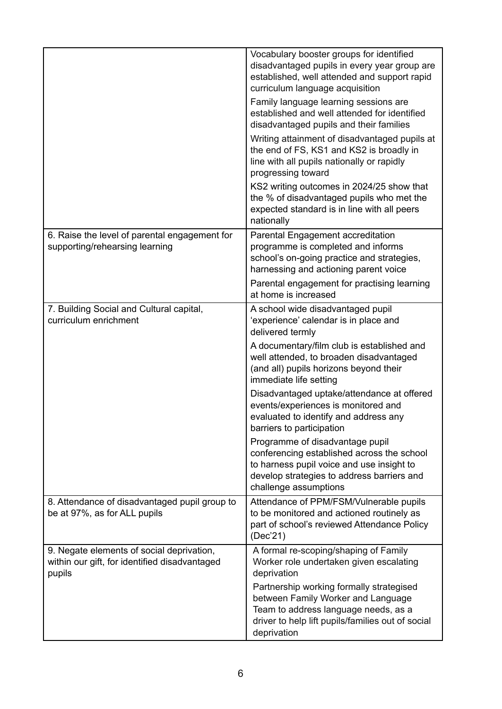|                                                                                                      | Vocabulary booster groups for identified<br>disadvantaged pupils in every year group are<br>established, well attended and support rapid<br>curriculum language acquisition<br>Family language learning sessions are<br>established and well attended for identified<br>disadvantaged pupils and their families<br>Writing attainment of disadvantaged pupils at<br>the end of FS, KS1 and KS2 is broadly in<br>line with all pupils nationally or rapidly<br>progressing toward<br>KS2 writing outcomes in 2024/25 show that<br>the % of disadvantaged pupils who met the<br>expected standard is in line with all peers<br>nationally |
|------------------------------------------------------------------------------------------------------|-----------------------------------------------------------------------------------------------------------------------------------------------------------------------------------------------------------------------------------------------------------------------------------------------------------------------------------------------------------------------------------------------------------------------------------------------------------------------------------------------------------------------------------------------------------------------------------------------------------------------------------------|
| 6. Raise the level of parental engagement for<br>supporting/rehearsing learning                      | Parental Engagement accreditation<br>programme is completed and informs<br>school's on-going practice and strategies,<br>harnessing and actioning parent voice<br>Parental engagement for practising learning<br>at home is increased                                                                                                                                                                                                                                                                                                                                                                                                   |
| 7. Building Social and Cultural capital,<br>curriculum enrichment                                    | A school wide disadvantaged pupil<br>'experience' calendar is in place and<br>delivered termly<br>A documentary/film club is established and<br>well attended, to broaden disadvantaged<br>(and all) pupils horizons beyond their<br>immediate life setting<br>Disadvantaged uptake/attendance at offered<br>events/experiences is monitored and<br>evaluated to identify and address any<br>barriers to participation<br>Programme of disadvantage pupil<br>conferencing established across the school<br>to harness pupil voice and use insight to<br>develop strategies to address barriers and<br>challenge assumptions             |
| 8. Attendance of disadvantaged pupil group to<br>be at 97%, as for ALL pupils                        | Attendance of PPM/FSM/Vulnerable pupils<br>to be monitored and actioned routinely as<br>part of school's reviewed Attendance Policy<br>(Dec'21)                                                                                                                                                                                                                                                                                                                                                                                                                                                                                         |
| 9. Negate elements of social deprivation,<br>within our gift, for identified disadvantaged<br>pupils | A formal re-scoping/shaping of Family<br>Worker role undertaken given escalating<br>deprivation<br>Partnership working formally strategised<br>between Family Worker and Language<br>Team to address language needs, as a<br>driver to help lift pupils/families out of social<br>deprivation                                                                                                                                                                                                                                                                                                                                           |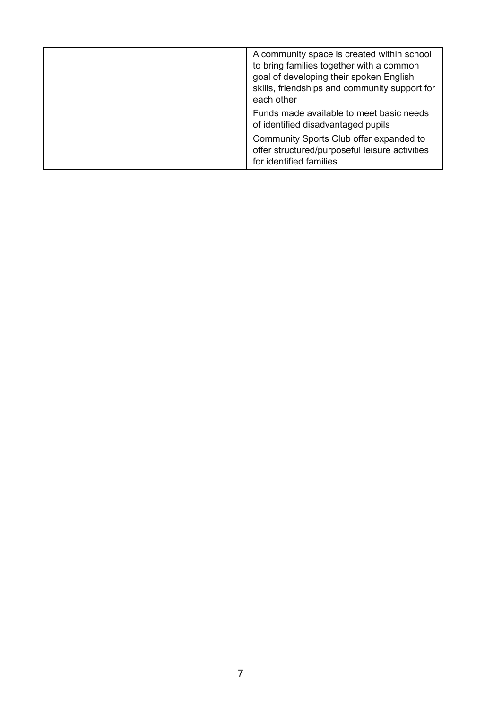| A community space is created within school<br>to bring families together with a common<br>goal of developing their spoken English<br>skills, friendships and community support for<br>each other |
|--------------------------------------------------------------------------------------------------------------------------------------------------------------------------------------------------|
| Funds made available to meet basic needs<br>of identified disadvantaged pupils                                                                                                                   |
| Community Sports Club offer expanded to<br>offer structured/purposeful leisure activities<br>for identified families                                                                             |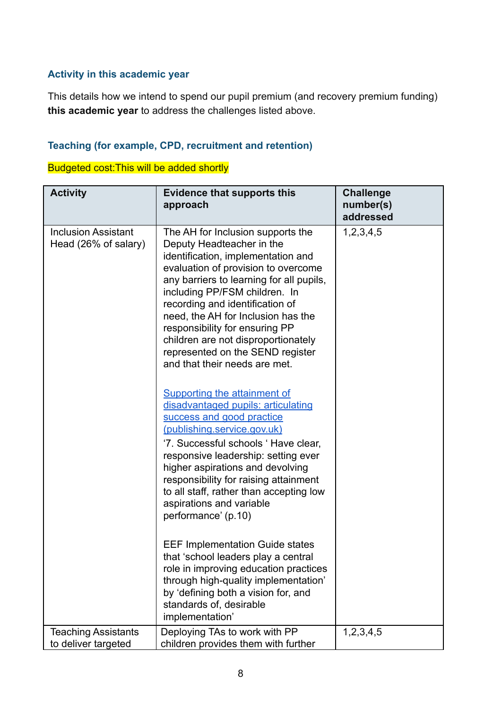#### **Activity in this academic year**

This details how we intend to spend our pupil premium (and recovery premium funding) **this academic year** to address the challenges listed above.

#### **Teaching (for example, CPD, recruitment and retention)**

Budgeted cost:This will be added shortly

| <b>Activity</b>                                    | <b>Evidence that supports this</b><br>approach                                                                                                                                                                                                                                                                                                                                                                                                  | <b>Challenge</b><br>number(s)<br>addressed |
|----------------------------------------------------|-------------------------------------------------------------------------------------------------------------------------------------------------------------------------------------------------------------------------------------------------------------------------------------------------------------------------------------------------------------------------------------------------------------------------------------------------|--------------------------------------------|
| <b>Inclusion Assistant</b><br>Head (26% of salary) | The AH for Inclusion supports the<br>Deputy Headteacher in the<br>identification, implementation and<br>evaluation of provision to overcome<br>any barriers to learning for all pupils,<br>including PP/FSM children. In<br>recording and identification of<br>need, the AH for Inclusion has the<br>responsibility for ensuring PP<br>children are not disproportionately<br>represented on the SEND register<br>and that their needs are met. | 1,2,3,4,5                                  |
|                                                    | Supporting the attainment of<br>disadvantaged pupils: articulating<br>success and good practice<br>(publishing.service.gov.uk)<br>'7. Successful schools ' Have clear,<br>responsive leadership: setting ever<br>higher aspirations and devolving<br>responsibility for raising attainment<br>to all staff, rather than accepting low<br>aspirations and variable<br>performance' (p.10)                                                        |                                            |
|                                                    | <b>EEF Implementation Guide states</b><br>that 'school leaders play a central<br>role in improving education practices<br>through high-quality implementation'<br>by 'defining both a vision for, and<br>standards of, desirable<br>implementation'                                                                                                                                                                                             |                                            |
| <b>Teaching Assistants</b><br>to deliver targeted  | Deploying TAs to work with PP<br>children provides them with further                                                                                                                                                                                                                                                                                                                                                                            | 1,2,3,4,5                                  |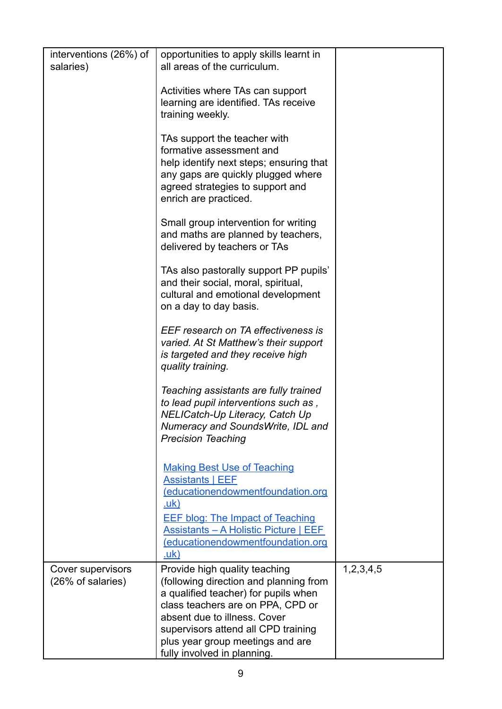| interventions (26%) of<br>salaries)    | opportunities to apply skills learnt in<br>all areas of the curriculum.                                                                                                                                                                                          |           |
|----------------------------------------|------------------------------------------------------------------------------------------------------------------------------------------------------------------------------------------------------------------------------------------------------------------|-----------|
|                                        | Activities where TAs can support<br>learning are identified. TAs receive<br>training weekly.                                                                                                                                                                     |           |
|                                        | TAs support the teacher with<br>formative assessment and<br>help identify next steps; ensuring that<br>any gaps are quickly plugged where<br>agreed strategies to support and<br>enrich are practiced.                                                           |           |
|                                        | Small group intervention for writing<br>and maths are planned by teachers,<br>delivered by teachers or TAs                                                                                                                                                       |           |
|                                        | TAs also pastorally support PP pupils'<br>and their social, moral, spiritual,<br>cultural and emotional development<br>on a day to day basis.                                                                                                                    |           |
|                                        | EEF research on TA effectiveness is<br>varied. At St Matthew's their support<br>is targeted and they receive high<br>quality training.                                                                                                                           |           |
|                                        | Teaching assistants are fully trained<br>to lead pupil interventions such as,<br>NELICatch-Up Literacy, Catch Up<br>Numeracy and SoundsWrite, IDL and<br><b>Precision Teaching</b>                                                                               |           |
|                                        | <b>Making Best Use of Teaching</b><br><b>Assistants   EEF</b><br>(educationendowmentfoundation.org<br><u>.uk)</u><br><b>EEF blog: The Impact of Teaching</b><br><b>Assistants - A Holistic Picture   EEF</b><br>(educationendowmentfoundation.org<br><u>.uk)</u> |           |
| Cover supervisors<br>(26% of salaries) | Provide high quality teaching<br>(following direction and planning from<br>a qualified teacher) for pupils when<br>class teachers are on PPA, CPD or<br>absent due to illness. Cover<br>supervisors attend all CPD training<br>plus year group meetings and are  | 1,2,3,4,5 |
|                                        | fully involved in planning.                                                                                                                                                                                                                                      |           |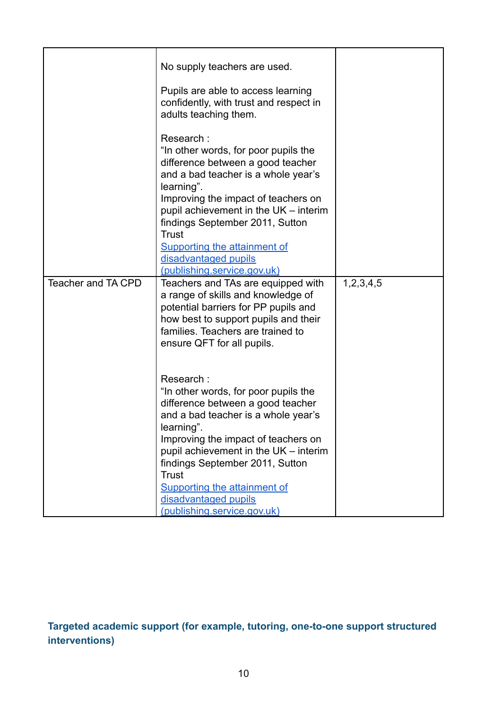|                           | No supply teachers are used.<br>Pupils are able to access learning<br>confidently, with trust and respect in<br>adults teaching them.                                                                                                                                                                                                                                 |           |
|---------------------------|-----------------------------------------------------------------------------------------------------------------------------------------------------------------------------------------------------------------------------------------------------------------------------------------------------------------------------------------------------------------------|-----------|
|                           | Research:<br>"In other words, for poor pupils the<br>difference between a good teacher<br>and a bad teacher is a whole year's<br>learning".<br>Improving the impact of teachers on<br>pupil achievement in the UK - interim<br>findings September 2011, Sutton<br><b>Trust</b><br>Supporting the attainment of<br>disadvantaged pupils                                |           |
|                           | (publishing.service.gov.uk)                                                                                                                                                                                                                                                                                                                                           |           |
| <b>Teacher and TA CPD</b> | Teachers and TAs are equipped with<br>a range of skills and knowledge of<br>potential barriers for PP pupils and<br>how best to support pupils and their<br>families. Teachers are trained to<br>ensure QFT for all pupils.                                                                                                                                           | 1,2,3,4,5 |
|                           | Research:<br>"In other words, for poor pupils the<br>difference between a good teacher<br>and a bad teacher is a whole year's<br>learning".<br>Improving the impact of teachers on<br>pupil achievement in the UK - interim<br>findings September 2011, Sutton<br><b>Trust</b><br>Supporting the attainment of<br>disadvantaged pupils<br>(publishing.service.gov.uk) |           |

**Targeted academic support (for example, tutoring, one-to-one support structured interventions)**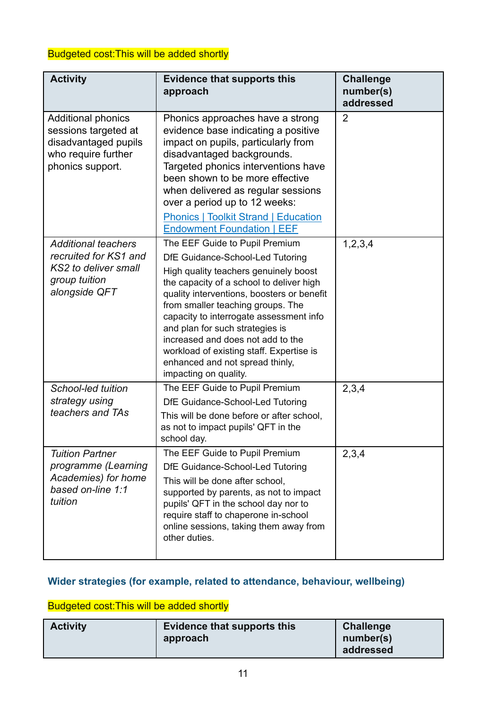#### Budgeted cost:This will be added shortly

| <b>Activity</b>                                                                                                      | <b>Evidence that supports this</b><br>approach                                                                                                                                                                                                                                                                                                                                                                                                                        | <b>Challenge</b><br>number(s)<br>addressed |
|----------------------------------------------------------------------------------------------------------------------|-----------------------------------------------------------------------------------------------------------------------------------------------------------------------------------------------------------------------------------------------------------------------------------------------------------------------------------------------------------------------------------------------------------------------------------------------------------------------|--------------------------------------------|
| <b>Additional phonics</b><br>sessions targeted at<br>disadvantaged pupils<br>who require further<br>phonics support. | Phonics approaches have a strong<br>evidence base indicating a positive<br>impact on pupils, particularly from<br>disadvantaged backgrounds.<br>Targeted phonics interventions have<br>been shown to be more effective<br>when delivered as regular sessions<br>over a period up to 12 weeks:<br><b>Phonics   Toolkit Strand   Education</b><br><b>Endowment Foundation   EEF</b>                                                                                     | $\overline{2}$                             |
| <b>Additional teachers</b><br>recruited for KS1 and<br>KS2 to deliver small<br>group tuition<br>alongside QFT        | The EEF Guide to Pupil Premium<br>DfE Guidance-School-Led Tutoring<br>High quality teachers genuinely boost<br>the capacity of a school to deliver high<br>quality interventions, boosters or benefit<br>from smaller teaching groups. The<br>capacity to interrogate assessment info<br>and plan for such strategies is<br>increased and does not add to the<br>workload of existing staff. Expertise is<br>enhanced and not spread thinly,<br>impacting on quality. | 1,2,3,4                                    |
| School-led tuition<br>strategy using<br>teachers and TAs                                                             | The EEF Guide to Pupil Premium<br>DfE Guidance-School-Led Tutoring<br>This will be done before or after school,<br>as not to impact pupils' QFT in the<br>school day.                                                                                                                                                                                                                                                                                                 | 2,3,4                                      |
| <b>Tuition Partner</b><br>programme (Learning<br>Academies) for home<br>based on-line 1:1<br>tuition                 | The EEF Guide to Pupil Premium<br>DfE Guidance-School-Led Tutoring<br>This will be done after school,<br>supported by parents, as not to impact<br>pupils' QFT in the school day nor to<br>require staff to chaperone in-school<br>online sessions, taking them away from<br>other duties.                                                                                                                                                                            | 2,3,4                                      |

#### **Wider strategies (for example, related to attendance, behaviour, wellbeing)**

### Budgeted cost:This will be added shortly

| <b>Activity</b> | Evidence that supports this<br>approach | <b>Challenge</b><br>number(s) |
|-----------------|-----------------------------------------|-------------------------------|
|                 |                                         | addressed                     |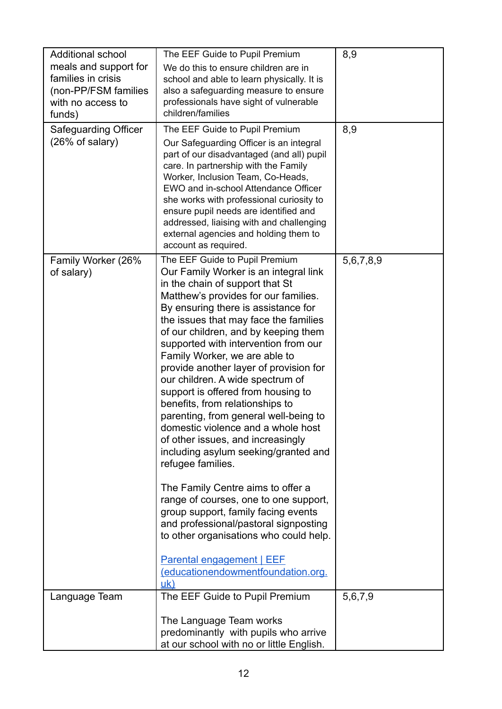| <b>Additional school</b>    | The EEF Guide to Pupil Premium                                                    | 8,9       |
|-----------------------------|-----------------------------------------------------------------------------------|-----------|
| meals and support for       | We do this to ensure children are in                                              |           |
| families in crisis          | school and able to learn physically. It is                                        |           |
| (non-PP/FSM families        | also a safeguarding measure to ensure                                             |           |
| with no access to           | professionals have sight of vulnerable                                            |           |
| funds)                      | children/families                                                                 |           |
| <b>Safeguarding Officer</b> | The EEF Guide to Pupil Premium                                                    | 8,9       |
| $(26\% \text{ of salary})$  | Our Safeguarding Officer is an integral                                           |           |
|                             | part of our disadvantaged (and all) pupil                                         |           |
|                             | care. In partnership with the Family                                              |           |
|                             | Worker, Inclusion Team, Co-Heads,                                                 |           |
|                             | EWO and in-school Attendance Officer                                              |           |
|                             | she works with professional curiosity to                                          |           |
|                             | ensure pupil needs are identified and                                             |           |
|                             | addressed, liaising with and challenging<br>external agencies and holding them to |           |
|                             | account as required.                                                              |           |
| Family Worker (26%          | The EEF Guide to Pupil Premium                                                    | 5,6,7,8,9 |
| of salary)                  | Our Family Worker is an integral link                                             |           |
|                             | in the chain of support that St                                                   |           |
|                             | Matthew's provides for our families.                                              |           |
|                             | By ensuring there is assistance for                                               |           |
|                             | the issues that may face the families                                             |           |
|                             | of our children, and by keeping them                                              |           |
|                             | supported with intervention from our                                              |           |
|                             | Family Worker, we are able to                                                     |           |
|                             | provide another layer of provision for                                            |           |
|                             | our children. A wide spectrum of                                                  |           |
|                             | support is offered from housing to                                                |           |
|                             | benefits, from relationships to                                                   |           |
|                             | parenting, from general well-being to<br>domestic violence and a whole host       |           |
|                             | of other issues, and increasingly                                                 |           |
|                             | including asylum seeking/granted and                                              |           |
|                             | refugee families.                                                                 |           |
|                             |                                                                                   |           |
|                             | The Family Centre aims to offer a                                                 |           |
|                             | range of courses, one to one support,                                             |           |
|                             | group support, family facing events                                               |           |
|                             | and professional/pastoral signposting                                             |           |
|                             | to other organisations who could help.                                            |           |
|                             |                                                                                   |           |
|                             | <b>Parental engagement   EEF</b><br>(educationendowmentfoundation.org.            |           |
|                             | uk)                                                                               |           |
| Language Team               | The EEF Guide to Pupil Premium                                                    | 5,6,7,9   |
|                             |                                                                                   |           |
|                             | The Language Team works<br>predominantly with pupils who arrive                   |           |
|                             | at our school with no or little English.                                          |           |
|                             |                                                                                   |           |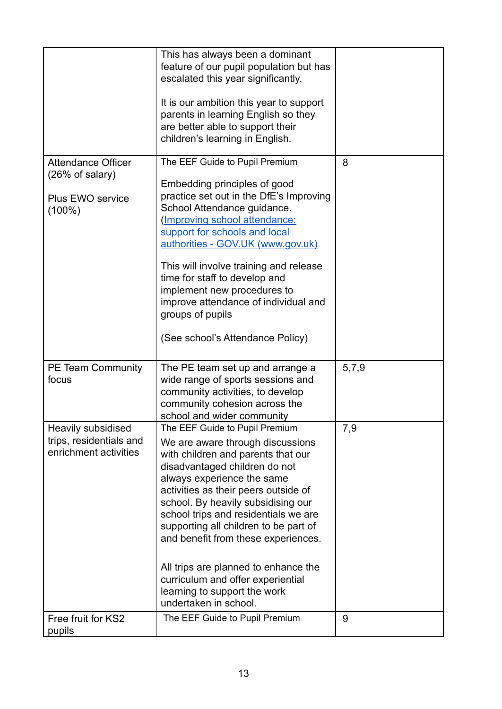|                                                                        | This has always been a dominant<br>feature of our pupil population but has<br>escalated this year significantly.<br>It is our ambition this year to support<br>parents in learning English so they<br>are better able to support their<br>children's learning in English.                                                                                                                                                                                                                                           |       |
|------------------------------------------------------------------------|---------------------------------------------------------------------------------------------------------------------------------------------------------------------------------------------------------------------------------------------------------------------------------------------------------------------------------------------------------------------------------------------------------------------------------------------------------------------------------------------------------------------|-------|
| <b>Attendance Officer</b><br>$(26\% \text{ of salary})$                | The EEF Guide to Pupil Premium<br>Embedding principles of good<br>practice set out in the DfE's Improving                                                                                                                                                                                                                                                                                                                                                                                                           | 8     |
| Plus EWO service<br>$(100\%)$                                          | School Attendance guidance.<br>(Improving school attendance:<br>support for schools and local<br>authorities - GOV.UK (www.gov.uk)                                                                                                                                                                                                                                                                                                                                                                                  |       |
|                                                                        | This will involve training and release<br>time for staff to develop and<br>implement new procedures to<br>improve attendance of individual and<br>groups of pupils                                                                                                                                                                                                                                                                                                                                                  |       |
|                                                                        | (See school's Attendance Policy)                                                                                                                                                                                                                                                                                                                                                                                                                                                                                    |       |
| PE Team Community<br>focus                                             | The PE team set up and arrange a<br>wide range of sports sessions and<br>community activities, to develop<br>community cohesion across the<br>school and wider community                                                                                                                                                                                                                                                                                                                                            | 5,7,9 |
| Heavily subsidised<br>trips, residentials and<br>enrichment activities | The EEF Guide to Pupil Premium<br>We are aware through discussions<br>with children and parents that our<br>disadvantaged children do not<br>always experience the same<br>activities as their peers outside of<br>school. By heavily subsidising our<br>school trips and residentials we are<br>supporting all children to be part of<br>and benefit from these experiences.<br>All trips are planned to enhance the<br>curriculum and offer experiential<br>learning to support the work<br>undertaken in school. | 7,9   |
| Free fruit for KS2<br>pupils                                           | The EEF Guide to Pupil Premium                                                                                                                                                                                                                                                                                                                                                                                                                                                                                      | 9     |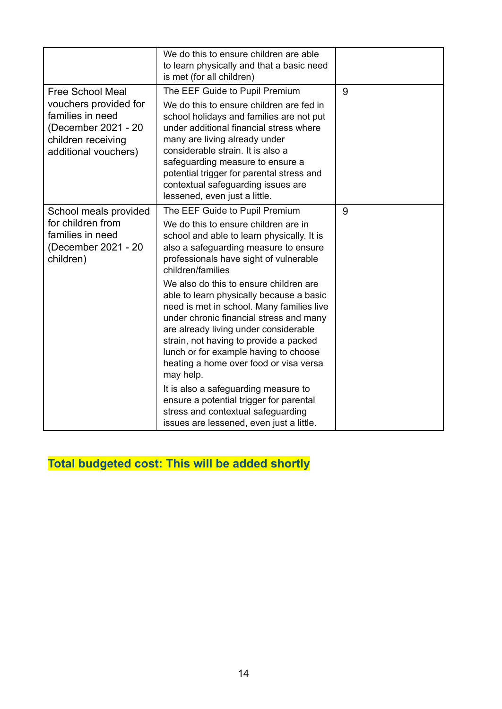|                                                                                                                                           | We do this to ensure children are able<br>to learn physically and that a basic need<br>is met (for all children)                                                                                                                                                                                                                                                                                                                                                                                                                                                                                                                                                                                                                                                   |   |
|-------------------------------------------------------------------------------------------------------------------------------------------|--------------------------------------------------------------------------------------------------------------------------------------------------------------------------------------------------------------------------------------------------------------------------------------------------------------------------------------------------------------------------------------------------------------------------------------------------------------------------------------------------------------------------------------------------------------------------------------------------------------------------------------------------------------------------------------------------------------------------------------------------------------------|---|
| <b>Free School Meal</b><br>vouchers provided for<br>families in need<br>(December 2021 - 20<br>children receiving<br>additional vouchers) | The EEF Guide to Pupil Premium<br>We do this to ensure children are fed in<br>school holidays and families are not put<br>under additional financial stress where<br>many are living already under<br>considerable strain. It is also a<br>safeguarding measure to ensure a<br>potential trigger for parental stress and<br>contextual safeguarding issues are<br>lessened, even just a little.                                                                                                                                                                                                                                                                                                                                                                    | 9 |
| School meals provided<br>for children from<br>families in need<br>(December 2021 - 20<br>children)                                        | The EEF Guide to Pupil Premium<br>We do this to ensure children are in<br>school and able to learn physically. It is<br>also a safeguarding measure to ensure<br>professionals have sight of vulnerable<br>children/families<br>We also do this to ensure children are<br>able to learn physically because a basic<br>need is met in school. Many families live<br>under chronic financial stress and many<br>are already living under considerable<br>strain, not having to provide a packed<br>lunch or for example having to choose<br>heating a home over food or visa versa<br>may help.<br>It is also a safeguarding measure to<br>ensure a potential trigger for parental<br>stress and contextual safeguarding<br>issues are lessened, even just a little. | 9 |

**Total budgeted cost: This will be added shortly**